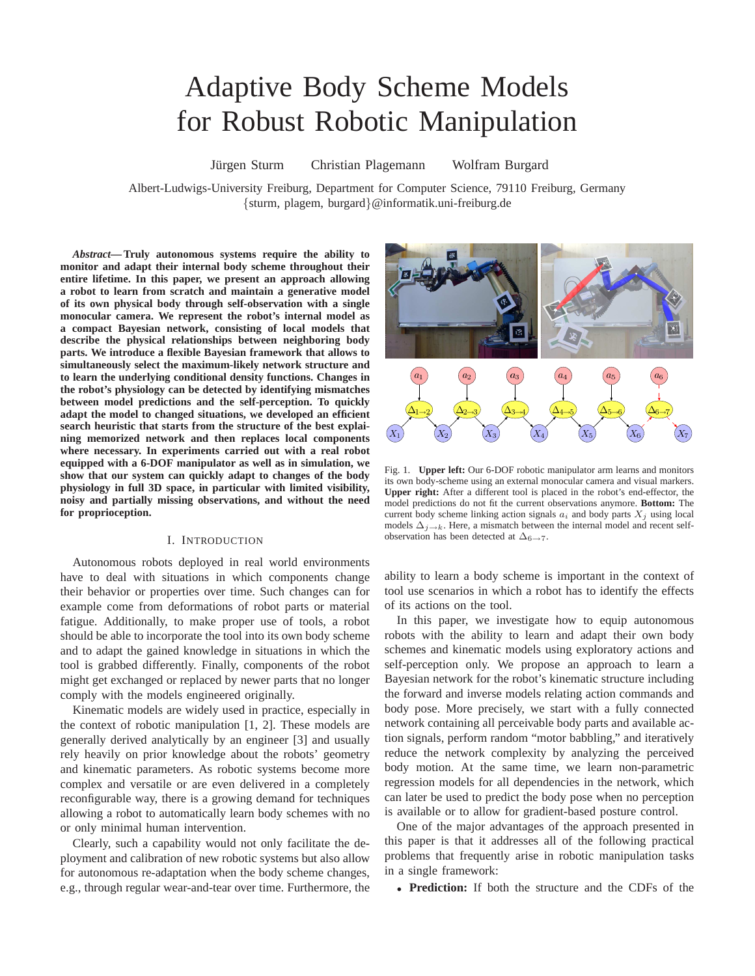# Adaptive Body Scheme Models for Robust Robotic Manipulation

Jürgen Sturm Christian Plagemann Wolfram Burgard

Albert-Ludwigs-University Freiburg, Department for Computer Science, 79110 Freiburg, Germany {sturm, plagem, burgard}@informatik.uni-freiburg.de

*Abstract***— Truly autonomous systems require the ability to monitor and adapt their internal body scheme throughout their entire lifetime. In this paper, we present an approach allowing a robot to learn from scratch and maintain a generative model of its own physical body through self-observation with a single monocular camera. We represent the robot's internal model as a compact Bayesian network, consisting of local models that describe the physical relationships between neighboring body parts. We introduce a flexible Bayesian framework that allows to simultaneously select the maximum-likely network structure and to learn the underlying conditional density functions. Changes in the robot's physiology can be detected by identifying mismatches between model predictions and the self-perception. To quickly adapt the model to changed situations, we developed an efficient search heuristic that starts from the structure of the best explaining memorized network and then replaces local components where necessary. In experiments carried out with a real robot equipped with a 6-DOF manipulator as well as in simulation, we show that our system can quickly adapt to changes of the body physiology in full 3D space, in particular with limited visibility, noisy and partially missing observations, and without the need for proprioception.**

#### I. INTRODUCTION

Autonomous robots deployed in real world environments have to deal with situations in which components change their behavior or properties over time. Such changes can for example come from deformations of robot parts or material fatigue. Additionally, to make proper use of tools, a robot should be able to incorporate the tool into its own body scheme and to adapt the gained knowledge in situations in which the tool is grabbed differently. Finally, components of the robot might get exchanged or replaced by newer parts that no longer comply with the models engineered originally.

Kinematic models are widely used in practice, especially in the context of robotic manipulation [1, 2]. These models are generally derived analytically by an engineer [3] and usually rely heavily on prior knowledge about the robots' geometry and kinematic parameters. As robotic systems become more complex and versatile or are even delivered in a completely reconfigurable way, there is a growing demand for techniques allowing a robot to automatically learn body schemes with no or only minimal human intervention.

Clearly, such a capability would not only facilitate the deployment and calibration of new robotic systems but also allow for autonomous re-adaptation when the body scheme changes, e.g., through regular wear-and-tear over time. Furthermore, the



Fig. 1. **Upper left:** Our 6-DOF robotic manipulator arm learns and monitors its own body-scheme using an external monocular camera and visual markers. **Upper right:** After a different tool is placed in the robot's end-effector, the model predictions do not fit the current observations anymore. **Bottom:** The current body scheme linking action signals  $a_i$  and body parts  $X_j$  using local models  $\Delta_{j\rightarrow k}$ . Here, a mismatch between the internal model and recent selfobservation has been detected at  $\Delta_{6\rightarrow 7}$ .

ability to learn a body scheme is important in the context of tool use scenarios in which a robot has to identify the effects of its actions on the tool.

In this paper, we investigate how to equip autonomous robots with the ability to learn and adapt their own body schemes and kinematic models using exploratory actions and self-perception only. We propose an approach to learn a Bayesian network for the robot's kinematic structure including the forward and inverse models relating action commands and body pose. More precisely, we start with a fully connected network containing all perceivable body parts and available action signals, perform random "motor babbling," and iteratively reduce the network complexity by analyzing the perceived body motion. At the same time, we learn non-parametric regression models for all dependencies in the network, which can later be used to predict the body pose when no perception is available or to allow for gradient-based posture control.

One of the major advantages of the approach presented in this paper is that it addresses all of the following practical problems that frequently arise in robotic manipulation tasks in a single framework:

• **Prediction:** If both the structure and the CDFs of the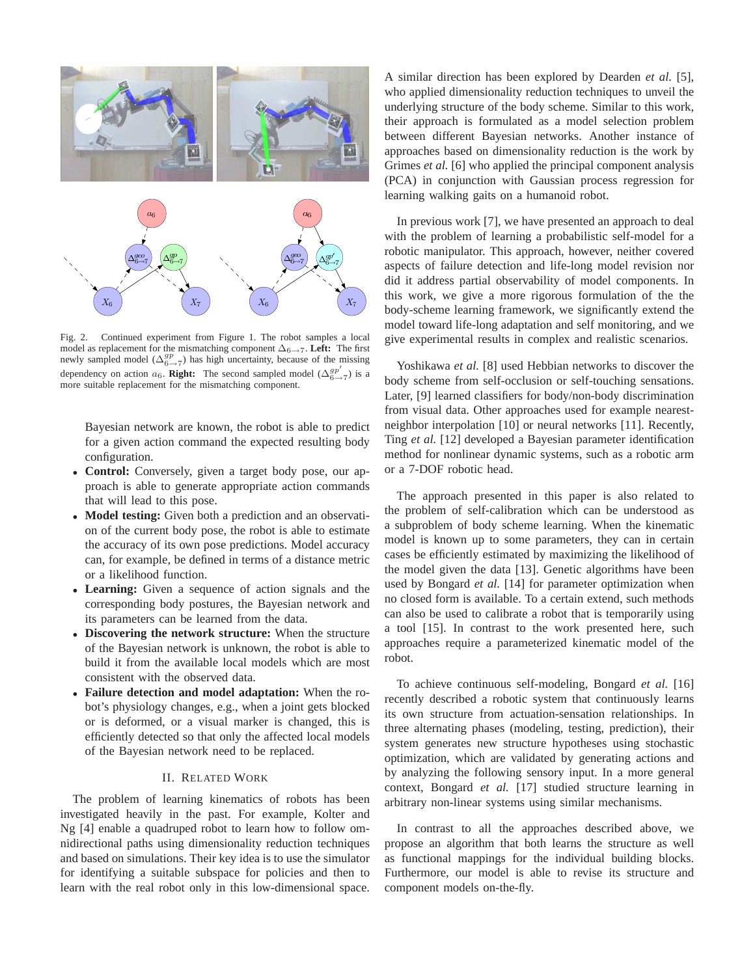

Fig. 2. Continued experiment from Figure 1. The robot samples a local model as replacement for the mismatching component  $\Delta_{6\rightarrow 7}$ . **Left:** The first newly sampled model ( $\Delta_{6\rightarrow 7}^{gp}$ ) has high uncertainty, because of the missing dependency on action  $a_6$ . **Right:** The second sampled model ( $\Delta_{6\rightarrow 7}^{gp'}$ ) is a more suitable replacement for the mismatching component.

Bayesian network are known, the robot is able to predict for a given action command the expected resulting body configuration.

- **Control:** Conversely, given a target body pose, our approach is able to generate appropriate action commands that will lead to this pose.
- **Model testing:** Given both a prediction and an observation of the current body pose, the robot is able to estimate the accuracy of its own pose predictions. Model accuracy can, for example, be defined in terms of a distance metric or a likelihood function.
- **Learning:** Given a sequence of action signals and the corresponding body postures, the Bayesian network and its parameters can be learned from the data.
- **Discovering the network structure:** When the structure of the Bayesian network is unknown, the robot is able to build it from the available local models which are most consistent with the observed data.
- **Failure detection and model adaptation:** When the robot's physiology changes, e.g., when a joint gets blocked or is deformed, or a visual marker is changed, this is efficiently detected so that only the affected local models of the Bayesian network need to be replaced.

#### II. RELATED WORK

The problem of learning kinematics of robots has been investigated heavily in the past. For example, Kolter and Ng [4] enable a quadruped robot to learn how to follow omnidirectional paths using dimensionality reduction techniques and based on simulations. Their key idea is to use the simulator for identifying a suitable subspace for policies and then to learn with the real robot only in this low-dimensional space.

A similar direction has been explored by Dearden *et al.* [5], who applied dimensionality reduction techniques to unveil the underlying structure of the body scheme. Similar to this work, their approach is formulated as a model selection problem between different Bayesian networks. Another instance of approaches based on dimensionality reduction is the work by Grimes *et al.* [6] who applied the principal component analysis (PCA) in conjunction with Gaussian process regression for learning walking gaits on a humanoid robot.

In previous work [7], we have presented an approach to deal with the problem of learning a probabilistic self-model for a robotic manipulator. This approach, however, neither covered aspects of failure detection and life-long model revision nor did it address partial observability of model components. In this work, we give a more rigorous formulation of the the body-scheme learning framework, we significantly extend the model toward life-long adaptation and self monitoring, and we give experimental results in complex and realistic scenarios.

Yoshikawa *et al.* [8] used Hebbian networks to discover the body scheme from self-occlusion or self-touching sensations. Later, [9] learned classifiers for body/non-body discrimination from visual data. Other approaches used for example nearestneighbor interpolation [10] or neural networks [11]. Recently, Ting *et al.* [12] developed a Bayesian parameter identification method for nonlinear dynamic systems, such as a robotic arm or a 7-DOF robotic head.

The approach presented in this paper is also related to the problem of self-calibration which can be understood as a subproblem of body scheme learning. When the kinematic model is known up to some parameters, they can in certain cases be efficiently estimated by maximizing the likelihood of the model given the data [13]. Genetic algorithms have been used by Bongard *et al.* [14] for parameter optimization when no closed form is available. To a certain extend, such methods can also be used to calibrate a robot that is temporarily using a tool [15]. In contrast to the work presented here, such approaches require a parameterized kinematic model of the robot.

To achieve continuous self-modeling, Bongard *et al.* [16] recently described a robotic system that continuously learns its own structure from actuation-sensation relationships. In three alternating phases (modeling, testing, prediction), their system generates new structure hypotheses using stochastic optimization, which are validated by generating actions and by analyzing the following sensory input. In a more general context, Bongard *et al.* [17] studied structure learning in arbitrary non-linear systems using similar mechanisms.

In contrast to all the approaches described above, we propose an algorithm that both learns the structure as well as functional mappings for the individual building blocks. Furthermore, our model is able to revise its structure and component models on-the-fly.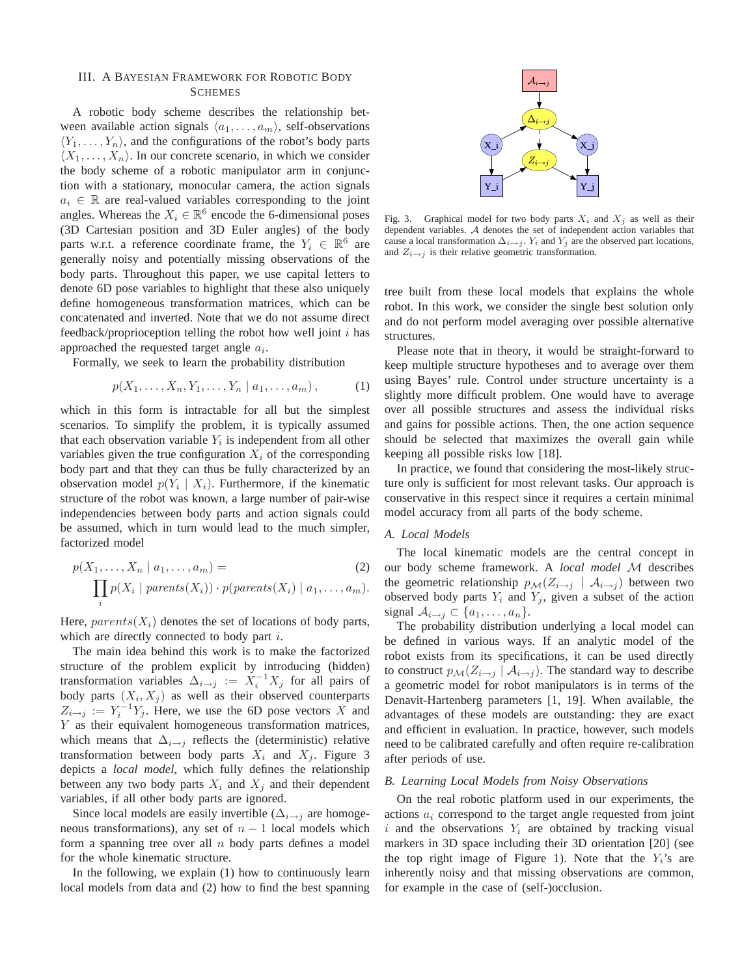# III. A BAYESIAN FRAMEWORK FOR ROBOTIC BODY **SCHEMES**

A robotic body scheme describes the relationship between available action signals  $\langle a_1, \ldots, a_m \rangle$ , self-observations  $\langle Y_1, \ldots, Y_n \rangle$ , and the configurations of the robot's body parts  $\langle X_1, \ldots, X_n \rangle$ . In our concrete scenario, in which we consider the body scheme of a robotic manipulator arm in conjunction with a stationary, monocular camera, the action signals  $a_i \in \mathbb{R}$  are real-valued variables corresponding to the joint angles. Whereas the  $X_i \in \mathbb{R}^6$  encode the 6-dimensional poses (3D Cartesian position and 3D Euler angles) of the body parts w.r.t. a reference coordinate frame, the  $Y_i \in \mathbb{R}^6$  are generally noisy and potentially missing observations of the body parts. Throughout this paper, we use capital letters to denote 6D pose variables to highlight that these also uniquely define homogeneous transformation matrices, which can be concatenated and inverted. Note that we do not assume direct feedback/proprioception telling the robot how well joint  $i$  has approached the requested target angle  $a_i$ .

Formally, we seek to learn the probability distribution

$$
p(X_1, ..., X_n, Y_1, ..., Y_n | a_1, ..., a_m)
$$
, (1)

which in this form is intractable for all but the simplest scenarios. To simplify the problem, it is typically assumed that each observation variable  $Y_i$  is independent from all other variables given the true configuration  $X_i$  of the corresponding body part and that they can thus be fully characterized by an observation model  $p(Y_i | X_i)$ . Furthermore, if the kinematic structure of the robot was known, a large number of pair-wise independencies between body parts and action signals could be assumed, which in turn would lead to the much simpler, factorized model

$$
p(X_1, \ldots, X_n \mid a_1, \ldots, a_m) = \prod_i p(X_i \mid parents(X_i)) \cdot p(\text{parents}(X_i) \mid a_1, \ldots, a_m).
$$
\n(2)

Here,  $parents(X_i)$  denotes the set of locations of body parts, which are directly connected to body part  $i$ .

The main idea behind this work is to make the factorized structure of the problem explicit by introducing (hidden) transformation variables  $\Delta_{i\rightarrow j}$  :=  $X_i^{-1}X_j$  for all pairs of body parts  $(X_i, X_j)$  as well as their observed counterparts  $Z_{i\rightarrow j} := Y_i^{-1}Y_j$ . Here, we use the 6D pose vectors X and Y as their equivalent homogeneous transformation matrices, which means that  $\Delta_{i\rightarrow j}$  reflects the (deterministic) relative transformation between body parts  $X_i$  and  $X_j$ . Figure 3 depicts a *local model*, which fully defines the relationship between any two body parts  $X_i$  and  $X_j$  and their dependent variables, if all other body parts are ignored.

Since local models are easily invertible ( $\Delta_{i\rightarrow j}$  are homogeneous transformations), any set of  $n - 1$  local models which form a spanning tree over all  $n$  body parts defines a model for the whole kinematic structure.

In the following, we explain (1) how to continuously learn local models from data and (2) how to find the best spanning



Fig. 3. Graphical model for two body parts  $X_i$  and  $X_j$  as well as their dependent variables. A denotes the set of independent action variables that cause a local transformation  $\Delta_{i\rightarrow j}$ . Y<sub>i</sub> and Y<sub>j</sub> are the observed part locations, and  $Z_{i\rightarrow j}$  is their relative geometric transformation.

tree built from these local models that explains the whole robot. In this work, we consider the single best solution only and do not perform model averaging over possible alternative structures.

Please note that in theory, it would be straight-forward to keep multiple structure hypotheses and to average over them using Bayes' rule. Control under structure uncertainty is a slightly more difficult problem. One would have to average over all possible structures and assess the individual risks and gains for possible actions. Then, the one action sequence should be selected that maximizes the overall gain while keeping all possible risks low [18].

In practice, we found that considering the most-likely structure only is sufficient for most relevant tasks. Our approach is conservative in this respect since it requires a certain minimal model accuracy from all parts of the body scheme.

## *A. Local Models*

The local kinematic models are the central concept in our body scheme framework. A *local model* M describes the geometric relationship  $p_{\mathcal{M}}(Z_{i\rightarrow j} | \mathcal{A}_{i\rightarrow j})$  between two observed body parts  $Y_i$  and  $Y_j$ , given a subset of the action signal  $\mathcal{A}_{i\rightarrow j} \subset \{a_1,\ldots,a_n\}.$ 

The probability distribution underlying a local model can be defined in various ways. If an analytic model of the robot exists from its specifications, it can be used directly to construct  $p_{\mathcal{M}}(Z_{i\rightarrow j} | \mathcal{A}_{i\rightarrow j})$ . The standard way to describe a geometric model for robot manipulators is in terms of the Denavit-Hartenberg parameters [1, 19]. When available, the advantages of these models are outstanding: they are exact and efficient in evaluation. In practice, however, such models need to be calibrated carefully and often require re-calibration after periods of use.

## *B. Learning Local Models from Noisy Observations*

On the real robotic platform used in our experiments, the actions  $a_i$  correspond to the target angle requested from joint i and the observations  $Y_i$  are obtained by tracking visual markers in 3D space including their 3D orientation [20] (see the top right image of Figure 1). Note that the  $Y_i$ 's are inherently noisy and that missing observations are common, for example in the case of (self-)occlusion.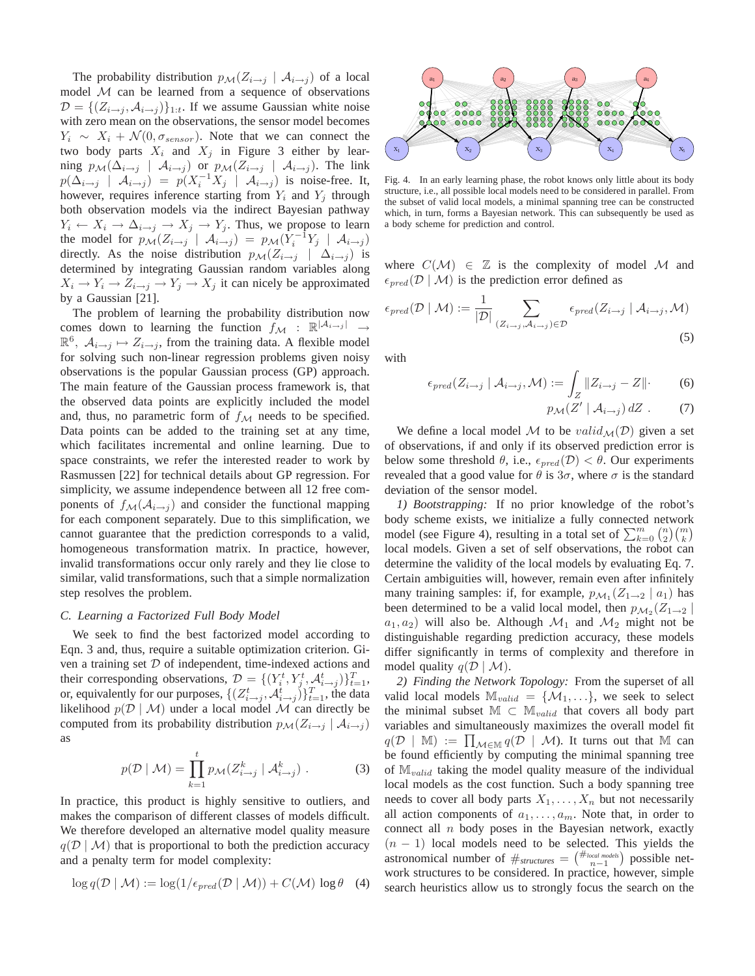The probability distribution  $p_{\mathcal{M}}(Z_{i\rightarrow j} | \mathcal{A}_{i\rightarrow j})$  of a local model  $M$  can be learned from a sequence of observations  $\mathcal{D} = \{ (Z_{i \to j}, \mathcal{A}_{i \to j}) \}_{1:t}$ . If we assume Gaussian white noise with zero mean on the observations, the sensor model becomes  $Y_i \sim X_i + \mathcal{N}(0, \sigma_{sensor})$ . Note that we can connect the two body parts  $X_i$  and  $X_j$  in Figure 3 either by learning  $p_{\mathcal{M}}(\Delta_{i\rightarrow j} \mid \mathcal{A}_{i\rightarrow j})$  or  $p_{\mathcal{M}}(Z_{i\rightarrow j} \mid \mathcal{A}_{i\rightarrow j})$ . The link  $p(\Delta_{i\rightarrow j} \mid \mathcal{A}_{i\rightarrow j}) = p(X_i^{-1}X_j \mid \mathcal{A}_{i\rightarrow j})$  is noise-free. It, however, requires inference starting from  $Y_i$  and  $Y_j$  through both observation models via the indirect Bayesian pathway  $Y_i \leftarrow X_i \rightarrow \Delta_{i \rightarrow j} \rightarrow X_j \rightarrow Y_j$ . Thus, we propose to learn the model for  $p_{\mathcal{M}}(Z_{i\rightarrow j} | \mathcal{A}_{i\rightarrow j}) = p_{\mathcal{M}}(Y_i^{-1}Y_j | \mathcal{A}_{i\rightarrow j})$ directly. As the noise distribution  $p_{\mathcal{M}}(Z_{i\rightarrow j} | \Delta_{i\rightarrow j})$  is determined by integrating Gaussian random variables along  $X_i \to Y_i \to Z_{i \to j} \to Y_j \to X_j$  it can nicely be approximated by a Gaussian [21].

The problem of learning the probability distribution now comes down to learning the function  $f_{\mathcal{M}}$  :  $\mathbb{R}^{|\mathcal{A}_{i\to j}|}$   $\rightarrow$  $\mathbb{R}^6$ ,  $\mathcal{A}_{i\rightarrow j} \mapsto Z_{i\rightarrow j}$ , from the training data. A flexible model for solving such non-linear regression problems given noisy observations is the popular Gaussian process (GP) approach. The main feature of the Gaussian process framework is, that the observed data points are explicitly included the model and, thus, no parametric form of  $f_{\mathcal{M}}$  needs to be specified. Data points can be added to the training set at any time, which facilitates incremental and online learning. Due to space constraints, we refer the interested reader to work by Rasmussen [22] for technical details about GP regression. For simplicity, we assume independence between all 12 free components of  $f_{\mathcal{M}}(\mathcal{A}_{i\rightarrow j})$  and consider the functional mapping for each component separately. Due to this simplification, we cannot guarantee that the prediction corresponds to a valid, homogeneous transformation matrix. In practice, however, invalid transformations occur only rarely and they lie close to similar, valid transformations, such that a simple normalization step resolves the problem.

## *C. Learning a Factorized Full Body Model*

We seek to find the best factorized model according to Eqn. 3 and, thus, require a suitable optimization criterion. Given a training set  $D$  of independent, time-indexed actions and their corresponding observations,  $\mathcal{D} = \{ (Y_i^t, Y_j^t, \mathcal{A}_{i \to j}^t) \}_{t=1}^T$ , or, equivalently for our purposes,  $\{(Z_{i\rightarrow j}^t, \mathcal{A}_{i\rightarrow j}^t)\}_{t=1}^T$ , the data likelihood  $p(\mathcal{D} | \mathcal{M})$  under a local model M can directly be computed from its probability distribution  $p_{\mathcal{M}}(Z_{i\rightarrow j} | \mathcal{A}_{i\rightarrow j})$ as

$$
p(\mathcal{D} \mid \mathcal{M}) = \prod_{k=1}^{t} p_{\mathcal{M}}(Z_{i \to j}^{k} \mid \mathcal{A}_{i \to j}^{k}) . \tag{3}
$$

In practice, this product is highly sensitive to outliers, and makes the comparison of different classes of models difficult. We therefore developed an alternative model quality measure  $q(\mathcal{D} | \mathcal{M})$  that is proportional to both the prediction accuracy and a penalty term for model complexity:

$$
\log q(\mathcal{D} \mid \mathcal{M}) := \log(1/\epsilon_{pred}(\mathcal{D} \mid \mathcal{M})) + C(\mathcal{M}) \log \theta \quad (4)
$$



Fig. 4. In an early learning phase, the robot knows only little about its body structure, i.e., all possible local models need to be considered in parallel. From the subset of valid local models, a minimal spanning tree can be constructed which, in turn, forms a Bayesian network. This can subsequently be used as a body scheme for prediction and control.

where  $C(\mathcal{M}) \in \mathbb{Z}$  is the complexity of model M and  $\epsilon_{pred}$  (D | M) is the prediction error defined as

$$
\epsilon_{pred}(\mathcal{D} \mid \mathcal{M}) := \frac{1}{|\mathcal{D}|} \sum_{(Z_{i \to j}, \mathcal{A}_{i \to j}) \in \mathcal{D}} \epsilon_{pred}(Z_{i \to j} \mid \mathcal{A}_{i \to j}, \mathcal{M})
$$
\n(5)

with

$$
\epsilon_{pred}(Z_{i \to j} \mid \mathcal{A}_{i \to j}, \mathcal{M}) := \int_{Z} \|Z_{i \to j} - Z\| \tag{6}
$$

$$
p_{\mathcal{M}}(Z' | \mathcal{A}_{i \to j}) dZ . \qquad (7)
$$

We define a local model M to be  $valid_{\mathcal{M}}(\mathcal{D})$  given a set of observations, if and only if its observed prediction error is below some threshold  $\theta$ , i.e.,  $\epsilon_{pred}(\mathcal{D}) < \theta$ . Our experiments revealed that a good value for  $\theta$  is  $3\sigma$ , where  $\sigma$  is the standard deviation of the sensor model.

*1) Bootstrapping:* If no prior knowledge of the robot's body scheme exists, we initialize a fully connected network model (see Figure 4), resulting in a total set of  $\sum_{k=0}^{m} {n \choose 2} {m \choose k}$ local models. Given a set of self observations, the robot can determine the validity of the local models by evaluating Eq. 7. Certain ambiguities will, however, remain even after infinitely many training samples: if, for example,  $p_{\mathcal{M}_1}(Z_{1\rightarrow 2} \mid a_1)$  has been determined to be a valid local model, then  $p_{\mathcal{M}_2}(Z_{1\rightarrow 2})$  $a_1, a_2$ ) will also be. Although  $\mathcal{M}_1$  and  $\mathcal{M}_2$  might not be distinguishable regarding prediction accuracy, these models differ significantly in terms of complexity and therefore in model quality  $q(\mathcal{D} | \mathcal{M})$ .

*2) Finding the Network Topology:* From the superset of all valid local models  $\mathbb{M}_{valid} = \{M_1, ...\}$ , we seek to select the minimal subset  $M \subset M_{valid}$  that covers all body part variables and simultaneously maximizes the overall model fit  $q(\mathcal{D} \mid \mathbb{M}) := \prod_{\mathcal{M} \in \mathbb{M}} q(\mathcal{D} \mid \mathcal{M})$ . It turns out that M can be found efficiently by computing the minimal spanning tree of  $\mathbb{M}_{valid}$  taking the model quality measure of the individual local models as the cost function. Such a body spanning tree needs to cover all body parts  $X_1, \ldots, X_n$  but not necessarily all action components of  $a_1, \ldots, a_m$ . Note that, in order to connect all  $n$  body poses in the Bayesian network, exactly  $(n - 1)$  local models need to be selected. This yields the astronomical number of  $#_{structures} = \binom{#_{local \text{ models}}}{n-1}$  possible network structures to be considered. In practice, however, simple search heuristics allow us to strongly focus the search on the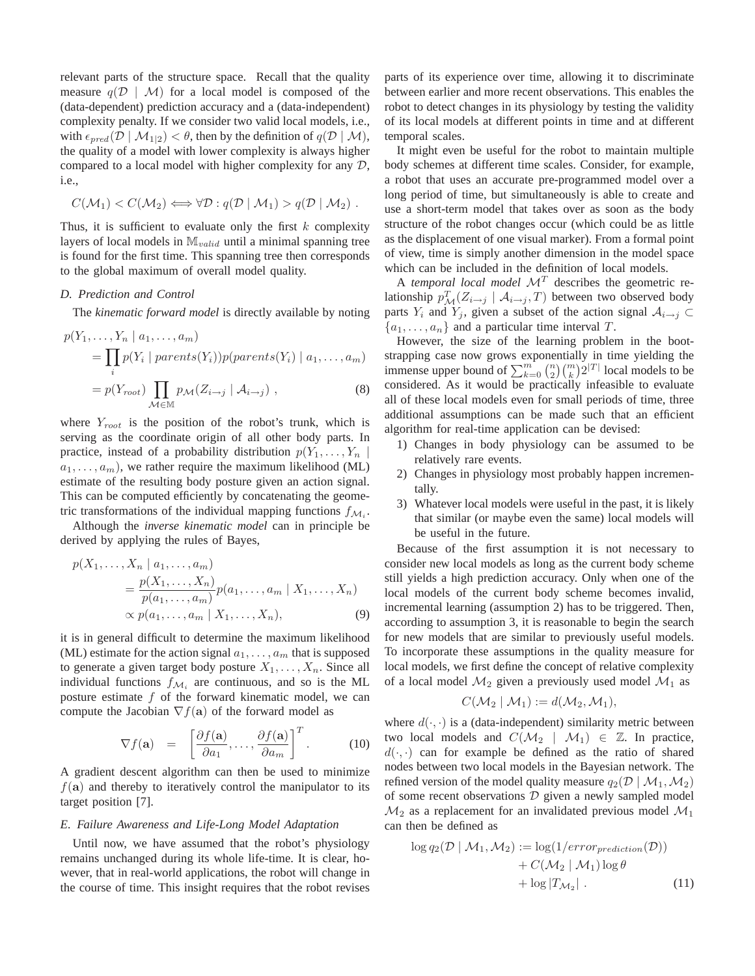relevant parts of the structure space. Recall that the quality measure  $q(\mathcal{D} \mid \mathcal{M})$  for a local model is composed of the (data-dependent) prediction accuracy and a (data-independent) complexity penalty. If we consider two valid local models, i.e., with  $\epsilon_{pred}(\mathcal{D} \mid \mathcal{M}_{1|2}) < \theta$ , then by the definition of  $q(\mathcal{D} \mid \mathcal{M})$ , the quality of a model with lower complexity is always higher compared to a local model with higher complexity for any D, i.e.,

$$
C(\mathcal{M}_1) < C(\mathcal{M}_2) \Longleftrightarrow \forall \mathcal{D} : q(\mathcal{D} \mid \mathcal{M}_1) > q(\mathcal{D} \mid \mathcal{M}_2) \; .
$$

Thus, it is sufficient to evaluate only the first  $k$  complexity layers of local models in  $\mathbb{M}_{valid}$  until a minimal spanning tree is found for the first time. This spanning tree then corresponds to the global maximum of overall model quality.

#### *D. Prediction and Control*

The *kinematic forward model* is directly available by noting

$$
p(Y_1, ..., Y_n | a_1, ..., a_m)
$$
  
= 
$$
\prod_i p(Y_i | parents(Y_i)) p(parents(Y_i) | a_1, ..., a_m)
$$
  
= 
$$
p(Y_{root}) \prod_{\mathcal{M} \in \mathbb{M}} p_{\mathcal{M}}(Z_{i \to j} | \mathcal{A}_{i \to j}),
$$
 (8)

where  $Y_{root}$  is the position of the robot's trunk, which is serving as the coordinate origin of all other body parts. In practice, instead of a probability distribution  $p(Y_1, \ldots, Y_n)$  $a_1, \ldots, a_m$ , we rather require the maximum likelihood (ML) estimate of the resulting body posture given an action signal. This can be computed efficiently by concatenating the geometric transformations of the individual mapping functions  $f_{\mathcal{M}_i}$ .

Although the *inverse kinematic model* can in principle be derived by applying the rules of Bayes,

$$
p(X_1, ..., X_n | a_1, ..., a_m)
$$
  
= 
$$
\frac{p(X_1, ..., X_n)}{p(a_1, ..., a_m)} p(a_1, ..., a_m | X_1, ..., X_n)
$$
  

$$
\propto p(a_1, ..., a_m | X_1, ..., X_n),
$$
 (9)

it is in general difficult to determine the maximum likelihood (ML) estimate for the action signal  $a_1, \ldots, a_m$  that is supposed to generate a given target body posture  $X_1, \ldots, X_n$ . Since all individual functions  $f_{\mathcal{M}_i}$  are continuous, and so is the ML posture estimate  $f$  of the forward kinematic model, we can compute the Jacobian  $\nabla f(\mathbf{a})$  of the forward model as

$$
\nabla f(\mathbf{a}) = \left[ \frac{\partial f(\mathbf{a})}{\partial a_1}, \dots, \frac{\partial f(\mathbf{a})}{\partial a_m} \right]^T.
$$
 (10)

A gradient descent algorithm can then be used to minimize  $f(\mathbf{a})$  and thereby to iteratively control the manipulator to its target position [7].

## *E. Failure Awareness and Life-Long Model Adaptation*

Until now, we have assumed that the robot's physiology remains unchanged during its whole life-time. It is clear, however, that in real-world applications, the robot will change in the course of time. This insight requires that the robot revises parts of its experience over time, allowing it to discriminate between earlier and more recent observations. This enables the robot to detect changes in its physiology by testing the validity of its local models at different points in time and at different temporal scales.

It might even be useful for the robot to maintain multiple body schemes at different time scales. Consider, for example, a robot that uses an accurate pre-programmed model over a long period of time, but simultaneously is able to create and use a short-term model that takes over as soon as the body structure of the robot changes occur (which could be as little as the displacement of one visual marker). From a formal point of view, time is simply another dimension in the model space which can be included in the definition of local models.

A *temporal local model*  $\mathcal{M}^T$  describes the geometric relationship  $p_{\mathcal{M}}^T(Z_{i\rightarrow j}\mid \mathcal{A}_{i\rightarrow j},T)$  between two observed body parts  $Y_i$  and  $Y_j$ , given a subset of the action signal  $A_{i\rightarrow j}$  ${a_1, \ldots, a_n}$  and a particular time interval T.

However, the size of the learning problem in the bootstrapping case now grows exponentially in time yielding the immense upper bound of  $\sum_{k=0}^{m} \binom{n}{2} \binom{m}{k} 2^{|T|}$  local models to be considered. As it would be practically infeasible to evaluate all of these local models even for small periods of time, three additional assumptions can be made such that an efficient algorithm for real-time application can be devised:

- 1) Changes in body physiology can be assumed to be relatively rare events.
- 2) Changes in physiology most probably happen incrementally.
- 3) Whatever local models were useful in the past, it is likely that similar (or maybe even the same) local models will be useful in the future.

Because of the first assumption it is not necessary to consider new local models as long as the current body scheme still yields a high prediction accuracy. Only when one of the local models of the current body scheme becomes invalid, incremental learning (assumption 2) has to be triggered. Then, according to assumption 3, it is reasonable to begin the search for new models that are similar to previously useful models. To incorporate these assumptions in the quality measure for local models, we first define the concept of relative complexity of a local model  $\mathcal{M}_2$  given a previously used model  $\mathcal{M}_1$  as

$$
C(\mathcal{M}_2 \mid \mathcal{M}_1) := d(\mathcal{M}_2, \mathcal{M}_1),
$$

where  $d(\cdot, \cdot)$  is a (data-independent) similarity metric between two local models and  $C(\mathcal{M}_2 \mid \mathcal{M}_1) \in \mathbb{Z}$ . In practice,  $d(\cdot, \cdot)$  can for example be defined as the ratio of shared nodes between two local models in the Bayesian network. The refined version of the model quality measure  $q_2(\mathcal{D} \mid \mathcal{M}_1, \mathcal{M}_2)$ of some recent observations  $D$  given a newly sampled model  $\mathcal{M}_2$  as a replacement for an invalidated previous model  $\mathcal{M}_1$ can then be defined as

$$
\log q_2(\mathcal{D} \mid \mathcal{M}_1, \mathcal{M}_2) := \log(1/error_{prediction}(\mathcal{D})) + C(\mathcal{M}_2 \mid \mathcal{M}_1) \log \theta + \log |T_{\mathcal{M}_2}|.
$$
 (11)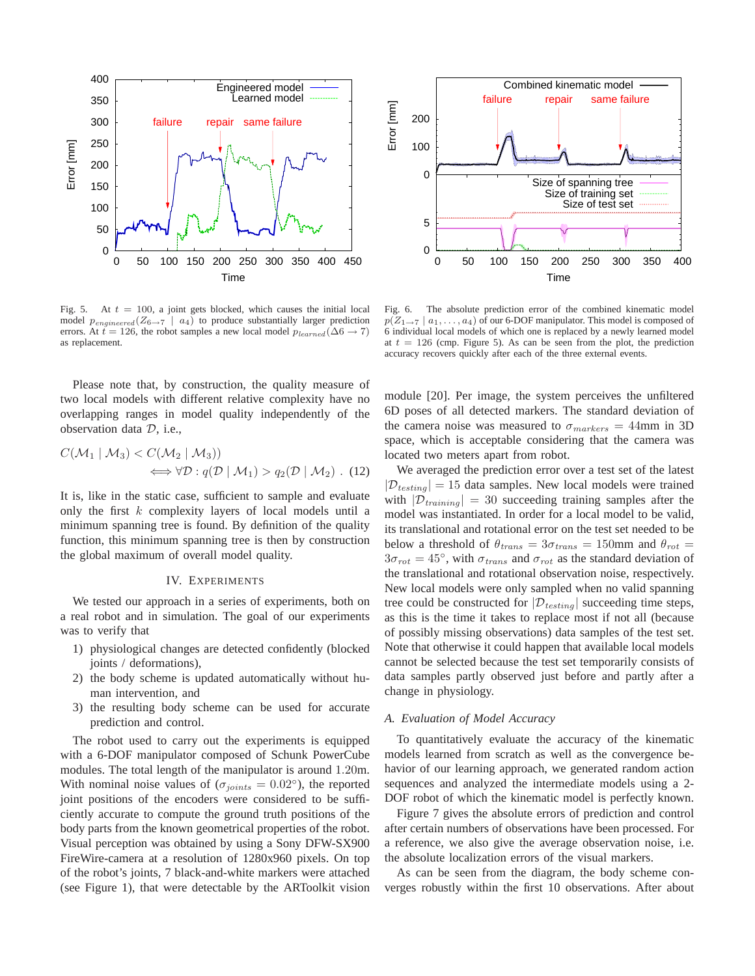

Fig. 5. At  $t = 100$ , a joint gets blocked, which causes the initial local model  $p_{engineered}(Z_{6\rightarrow 7} \mid a_4)$  to produce substantially larger prediction errors. At  $t = 126$ , the robot samples a new local model  $p_{learned}(\Delta 6 \rightarrow 7)$ as replacement.

Please note that, by construction, the quality measure of two local models with different relative complexity have no overlapping ranges in model quality independently of the observation data  $D$ , i.e.,

$$
C(\mathcal{M}_1 | \mathcal{M}_3) < C(\mathcal{M}_2 | \mathcal{M}_3))
$$
\n
$$
\iff \forall \mathcal{D} : q(\mathcal{D} | \mathcal{M}_1) > q_2(\mathcal{D} | \mathcal{M}_2) \tag{12}
$$

It is, like in the static case, sufficient to sample and evaluate only the first k complexity layers of local models until a minimum spanning tree is found. By definition of the quality function, this minimum spanning tree is then by construction the global maximum of overall model quality.

#### IV. EXPERIMENTS

We tested our approach in a series of experiments, both on a real robot and in simulation. The goal of our experiments was to verify that

- 1) physiological changes are detected confidently (blocked joints / deformations),
- 2) the body scheme is updated automatically without human intervention, and
- 3) the resulting body scheme can be used for accurate prediction and control.

The robot used to carry out the experiments is equipped with a 6-DOF manipulator composed of Schunk PowerCube modules. The total length of the manipulator is around 1.20m. With nominal noise values of ( $\sigma_{joints} = 0.02^{\circ}$ ), the reported joint positions of the encoders were considered to be sufficiently accurate to compute the ground truth positions of the body parts from the known geometrical properties of the robot. Visual perception was obtained by using a Sony DFW-SX900 FireWire-camera at a resolution of 1280x960 pixels. On top of the robot's joints, 7 black-and-white markers were attached (see Figure 1), that were detectable by the ARToolkit vision



Fig. 6. The absolute prediction error of the combined kinematic model  $p(Z_{1\rightarrow 7} \mid a_1, \ldots, a_4)$  of our 6-DOF manipulator. This model is composed of 6 individual local models of which one is replaced by a newly learned model at  $t = 126$  (cmp. Figure 5). As can be seen from the plot, the prediction accuracy recovers quickly after each of the three external events.

module [20]. Per image, the system perceives the unfiltered 6D poses of all detected markers. The standard deviation of the camera noise was measured to  $\sigma_{marks} = 44$ mm in 3D space, which is acceptable considering that the camera was located two meters apart from robot.

We averaged the prediction error over a test set of the latest  $|\mathcal{D}_{testing}| = 15$  data samples. New local models were trained with  $|\mathcal{D}_{training}| = 30$  succeeding training samples after the model was instantiated. In order for a local model to be valid, its translational and rotational error on the test set needed to be below a threshold of  $\theta_{trans} = 3\sigma_{trans} = 150$ mm and  $\theta_{rot} =$  $3\sigma_{rot} = 45^{\circ}$ , with  $\sigma_{trans}$  and  $\sigma_{rot}$  as the standard deviation of the translational and rotational observation noise, respectively. New local models were only sampled when no valid spanning tree could be constructed for  $|\mathcal{D}_{testing}|$  succeeding time steps, as this is the time it takes to replace most if not all (because of possibly missing observations) data samples of the test set. Note that otherwise it could happen that available local models cannot be selected because the test set temporarily consists of data samples partly observed just before and partly after a change in physiology.

#### *A. Evaluation of Model Accuracy*

To quantitatively evaluate the accuracy of the kinematic models learned from scratch as well as the convergence behavior of our learning approach, we generated random action sequences and analyzed the intermediate models using a 2- DOF robot of which the kinematic model is perfectly known.

Figure 7 gives the absolute errors of prediction and control after certain numbers of observations have been processed. For a reference, we also give the average observation noise, i.e. the absolute localization errors of the visual markers.

As can be seen from the diagram, the body scheme converges robustly within the first 10 observations. After about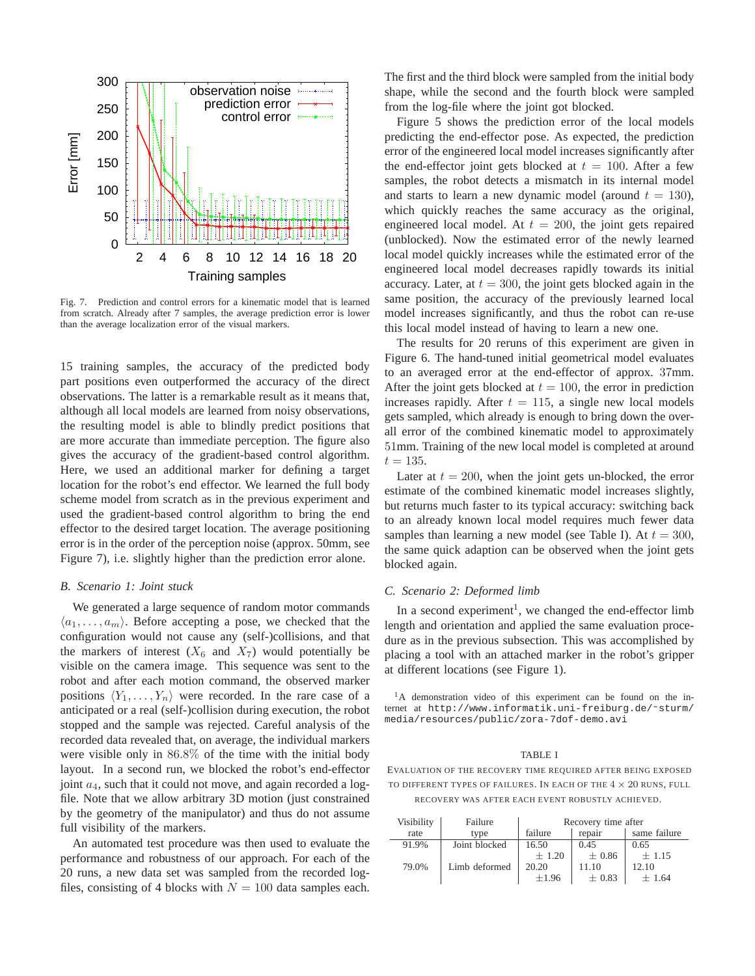

Fig. 7. Prediction and control errors for a kinematic model that is learned from scratch. Already after 7 samples, the average prediction error is lower than the average localization error of the visual markers.

15 training samples, the accuracy of the predicted body part positions even outperformed the accuracy of the direct observations. The latter is a remarkable result as it means that, although all local models are learned from noisy observations, the resulting model is able to blindly predict positions that are more accurate than immediate perception. The figure also gives the accuracy of the gradient-based control algorithm. Here, we used an additional marker for defining a target location for the robot's end effector. We learned the full body scheme model from scratch as in the previous experiment and used the gradient-based control algorithm to bring the end effector to the desired target location. The average positioning error is in the order of the perception noise (approx. 50mm, see Figure 7), i.e. slightly higher than the prediction error alone.

## *B. Scenario 1: Joint stuck*

We generated a large sequence of random motor commands  $\langle a_1, \ldots, a_m \rangle$ . Before accepting a pose, we checked that the configuration would not cause any (self-)collisions, and that the markers of interest  $(X_6$  and  $X_7$ ) would potentially be visible on the camera image. This sequence was sent to the robot and after each motion command, the observed marker positions  $\langle Y_1, \ldots, Y_n \rangle$  were recorded. In the rare case of a anticipated or a real (self-)collision during execution, the robot stopped and the sample was rejected. Careful analysis of the recorded data revealed that, on average, the individual markers were visible only in 86.8% of the time with the initial body layout. In a second run, we blocked the robot's end-effector joint  $a_4$ , such that it could not move, and again recorded a logfile. Note that we allow arbitrary 3D motion (just constrained by the geometry of the manipulator) and thus do not assume full visibility of the markers.

An automated test procedure was then used to evaluate the performance and robustness of our approach. For each of the 20 runs, a new data set was sampled from the recorded logfiles, consisting of 4 blocks with  $N = 100$  data samples each. The first and the third block were sampled from the initial body shape, while the second and the fourth block were sampled from the log-file where the joint got blocked.

Figure 5 shows the prediction error of the local models predicting the end-effector pose. As expected, the prediction error of the engineered local model increases significantly after the end-effector joint gets blocked at  $t = 100$ . After a few samples, the robot detects a mismatch in its internal model and starts to learn a new dynamic model (around  $t = 130$ ), which quickly reaches the same accuracy as the original, engineered local model. At  $t = 200$ , the joint gets repaired (unblocked). Now the estimated error of the newly learned local model quickly increases while the estimated error of the engineered local model decreases rapidly towards its initial accuracy. Later, at  $t = 300$ , the joint gets blocked again in the same position, the accuracy of the previously learned local model increases significantly, and thus the robot can re-use this local model instead of having to learn a new one.

The results for 20 reruns of this experiment are given in Figure 6. The hand-tuned initial geometrical model evaluates to an averaged error at the end-effector of approx. 37mm. After the joint gets blocked at  $t = 100$ , the error in prediction increases rapidly. After  $t = 115$ , a single new local models gets sampled, which already is enough to bring down the overall error of the combined kinematic model to approximately 51mm. Training of the new local model is completed at around  $t = 135.$ 

Later at  $t = 200$ , when the joint gets un-blocked, the error estimate of the combined kinematic model increases slightly, but returns much faster to its typical accuracy: switching back to an already known local model requires much fewer data samples than learning a new model (see Table I). At  $t = 300$ , the same quick adaption can be observed when the joint gets blocked again.

## *C. Scenario 2: Deformed limb*

In a second experiment<sup>1</sup>, we changed the end-effector limb length and orientation and applied the same evaluation procedure as in the previous subsection. This was accomplished by placing a tool with an attached marker in the robot's gripper at different locations (see Figure 1).

<sup>1</sup>A demonstration video of this experiment can be found on the internet at http://www.informatik.uni-freiburg.de/˜sturm/ media/resources/public/zora-7dof-demo.avi

#### TABLE I

EVALUATION OF THE RECOVERY TIME REQUIRED AFTER BEING EXPOSED TO DIFFERENT TYPES OF FAILURES. IN EACH OF THE  $4 \times 20$  RUNS, FULL RECOVERY WAS AFTER EACH EVENT ROBUSTLY ACHIEVED.

| Visibility | Failure       | Recovery time after |            |              |
|------------|---------------|---------------------|------------|--------------|
| rate       | type          | failure             | repair     | same failure |
| 91.9%      | Joint blocked | 16.50               | 0.45       | 0.65         |
|            |               | $\pm$ 1.20          | $\pm 0.86$ | $+1.15$      |
| 79.0%      | Limb deformed | 20.20               | 11.10      | 12.10        |
|            |               | $\pm 1.96$          | $\pm$ 0.83 | $+1.64$      |